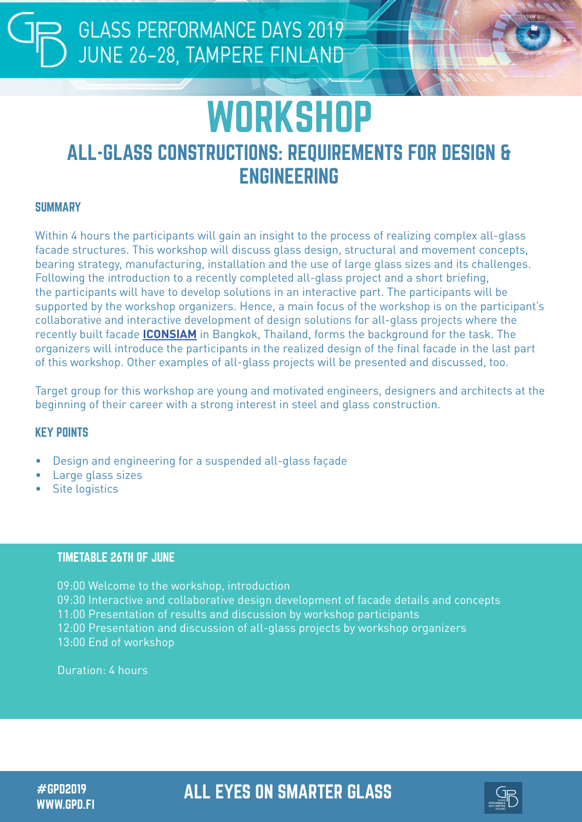## **GLASS PERFORMANCE DAYS 2019** JUNE 26-28, TAMPERE FINLAND

# **WORKSHOP** ALL-GLASS CONSTRUCTIONS: REQUIREMENTS FOR DESIGN & ENGINEERING

#### **SUMMARY**

Within 4 hours the participants will gain an insight to the process of realizing complex all-glass facade structures. This workshop will discuss glass design, structural and movement concepts, bearing strategy, manufacturing, installation and the use of large glass sizes and its challenges. Following the introduction to a recently completed all-glass project and a short briefing, the participants will have to develop solutions in an interactive part. The participants will be supported by the workshop organizers. Hence, a main focus of the workshop is on the participant's collaborative and interactive development of design solutions for all-glass projects where the recently built facade **[ICONSIAM](https://seele.com/references/iconsiam/)** in Bangkok, Thailand, forms the background for the task. The organizers will introduce the participants in the realized design of the final facade in the last part of this workshop. Other examples of all-glass projects will be presented and discussed, too.

Target group for this workshop are young and motivated engineers, designers and architects at the beginning of their career with a strong interest in steel and glass construction.

#### KEY POINTS

- Design and engineering for a suspended all-glass façade
- Large glass sizes
- Site logistics

#### TIMETABLE 26TH OF JUNE

09:00 Welcome to the workshop, introduction 09:30 Interactive and collaborative design development of facade details and concepts 11:00 Presentation of results and discussion by workshop participants 12:00 Presentation and discussion of all-glass projects by workshop organizers 13:00 End of workshop

Duration: 4 hours

WWW.GPD.FI

### #GPD2019 ALL EYES ON SMARTER GLASS